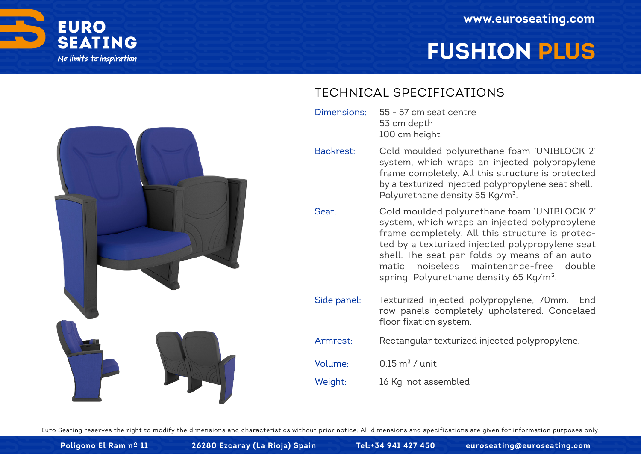

# **FUSHION PLUS**



### TECHNICAL SPECIFICATIONS

- 55 57 cm seat centre 53 cm depth 100 cm height Dimensions:
- Cold moulded polyurethane foam 'UNIBLOCK 2' system, which wraps an injected polypropylene frame completely. All this structure is protected by a texturized injected polypropylene seat shell. Polyurethane density 55 Kg/m<sup>3</sup>. Backrest:
- Cold moulded polyurethane foam 'UNIBLOCK 2' system, which wraps an injected polypropylene frame completely. All this structure is protected by a texturized injected polypropylene seat shell. The seat pan folds by means of an automatic noiseless maintenance-free double spring. Polyurethane density 65 Kg/m<sup>3</sup>. Seat:
- Texturized injected polypropylene, 70mm. End row panels completely upholstered. Concelaed floor fixation system. Side panel:
- Rectangular texturized injected polypropylene. Armrest:
- $0.15 \text{ m}^3$  / unit Volume:
- 16 Kg not assembled Weight:

Euro Seating reserves the right to modify the dimensions and characteristics without prior notice. All dimensions and specifications are given for information purposes only.